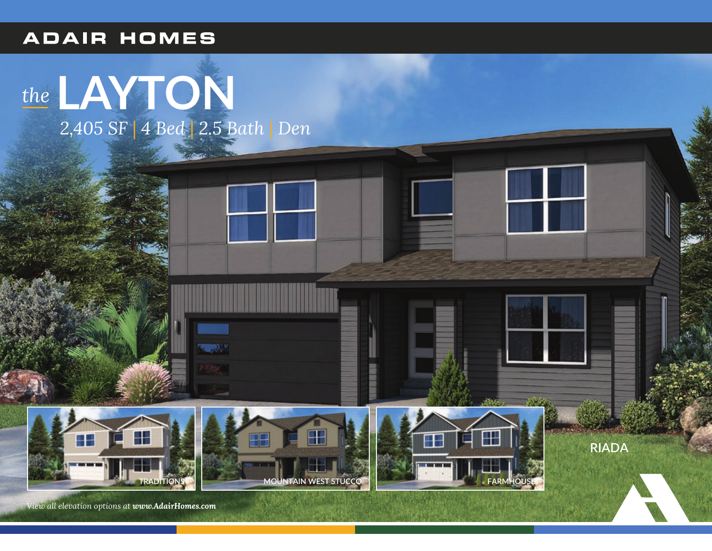## **ADAIR HOMES**





**RIADA** 

View all elevation options at www.AdairHomes.com

**MOUNTAIN WEST STUCCO**